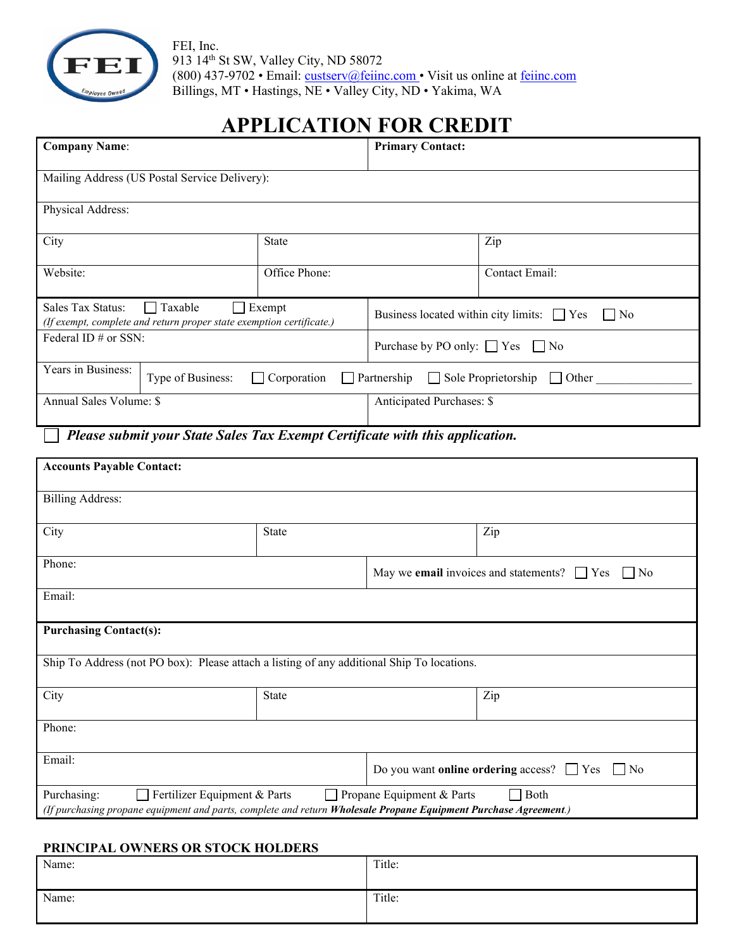

FEI, Inc. 913 14th St SW, Valley City, ND 58072 (800) 437-9702 • Email: [custserv@feiinc.com](mailto:custserv@feiinc.com) • Visit us online at [feiinc.com](http://www.feiinc.com/) Billings, MT • Hastings, NE • Valley City, ND • Yakima, WA

# **APPLICATION FOR CREDIT**

| <b>Company Name:</b>                                                                                             |  | <b>Primary Contact:</b>                                 |                                     |                |
|------------------------------------------------------------------------------------------------------------------|--|---------------------------------------------------------|-------------------------------------|----------------|
| Mailing Address (US Postal Service Delivery):                                                                    |  |                                                         |                                     |                |
| Physical Address:                                                                                                |  |                                                         |                                     |                |
| City                                                                                                             |  | <b>State</b>                                            |                                     | Zip            |
| Website:                                                                                                         |  | Office Phone:                                           |                                     | Contact Email: |
| Sales Tax Status:<br>  Taxable<br>Exempt<br>(If exempt, complete and return proper state exemption certificate.) |  | Business located within city limits: $\Box$ Yes<br>  No |                                     |                |
| Federal ID # or SSN:                                                                                             |  | Purchase by PO only: $\Box$ Yes $\Box$ No               |                                     |                |
| Years in Business:<br>Type of Business:<br>$\Box$ Corporation                                                    |  | Partnership $\Box$                                      | Sole Proprietorship<br>$\Box$ Other |                |
| Annual Sales Volume: \$                                                                                          |  | Anticipated Purchases: \$                               |                                     |                |

*Please submit your State Sales Tax Exempt Certificate with this application.*

| <b>Accounts Payable Contact:</b>                                                                                                                                                                                                |              |                                                                         |                                                                 |  |
|---------------------------------------------------------------------------------------------------------------------------------------------------------------------------------------------------------------------------------|--------------|-------------------------------------------------------------------------|-----------------------------------------------------------------|--|
| <b>Billing Address:</b>                                                                                                                                                                                                         |              |                                                                         |                                                                 |  |
|                                                                                                                                                                                                                                 |              |                                                                         |                                                                 |  |
| City                                                                                                                                                                                                                            | State        |                                                                         | Zip                                                             |  |
| Phone:                                                                                                                                                                                                                          |              | May we <b>email</b> invoices and statements? $\Box$ Yes<br>$\vert$   No |                                                                 |  |
| Email:                                                                                                                                                                                                                          |              |                                                                         |                                                                 |  |
| <b>Purchasing Contact(s):</b>                                                                                                                                                                                                   |              |                                                                         |                                                                 |  |
| Ship To Address (not PO box): Please attach a listing of any additional Ship To locations.                                                                                                                                      |              |                                                                         |                                                                 |  |
| City                                                                                                                                                                                                                            | State<br>Zip |                                                                         |                                                                 |  |
| Phone:                                                                                                                                                                                                                          |              |                                                                         |                                                                 |  |
| Email:                                                                                                                                                                                                                          |              |                                                                         | Do you want <b>online ordering</b> access? $\Box$ Yes $\Box$ No |  |
| $\exists$ Both<br>Purchasing:<br>$\Box$ Fertilizer Equipment & Parts<br>Propane Equipment & Parts<br>$\Box$<br>(If purchasing propane equipment and parts, complete and return Wholesale Propane Equipment Purchase Agreement.) |              |                                                                         |                                                                 |  |

#### **PRINCIPAL OWNERS OR STOCK HOLDERS**

| ------- |        |
|---------|--------|
| Name:   | Title: |
| Name:   | Title: |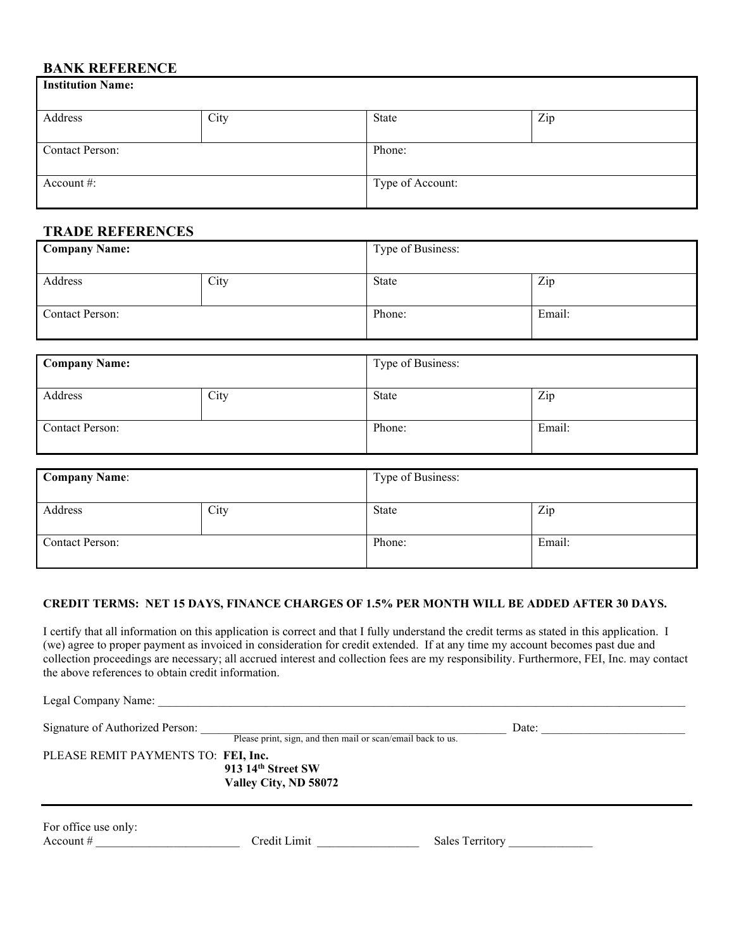## **BANK REFERENCE**

| <b>Institution Name:</b> |      |                  |     |  |
|--------------------------|------|------------------|-----|--|
| Address                  | City | State            | Zip |  |
| <b>Contact Person:</b>   |      | Phone:           |     |  |
| Account $\#$ :           |      | Type of Account: |     |  |

## **TRADE REFERENCES**

| <b>Company Name:</b>   |      | Type of Business: |        |
|------------------------|------|-------------------|--------|
| Address                | City | <b>State</b>      | Zip    |
| <b>Contact Person:</b> |      | Phone:            | Email: |

| <b>Company Name:</b>   |      | Type of Business: |        |
|------------------------|------|-------------------|--------|
| Address                | City | <b>State</b>      | Zip    |
| <b>Contact Person:</b> |      | Phone:            | Email: |

| <b>Company Name:</b>   |      | Type of Business: |        |
|------------------------|------|-------------------|--------|
| Address                | City | State             | Zip    |
| <b>Contact Person:</b> |      | Phone:            | Email: |

#### **CREDIT TERMS: NET 15 DAYS, FINANCE CHARGES OF 1.5% PER MONTH WILL BE ADDED AFTER 30 DAYS.**

I certify that all information on this application is correct and that I fully understand the credit terms as stated in this application. I (we) agree to proper payment as invoiced in consideration for credit extended. If at any time my account becomes past due and collection proceedings are necessary; all accrued interest and collection fees are my responsibility. Furthermore, FEI, Inc. may contact the above references to obtain credit information.

| Legal Company Name:                 |                                                             |                 |  |
|-------------------------------------|-------------------------------------------------------------|-----------------|--|
| Signature of Authorized Person:     | Please print, sign, and then mail or scan/email back to us. | Date:           |  |
| PLEASE REMIT PAYMENTS TO: FEI, Inc. | 913 14th Street SW<br>Valley City, ND 58072                 |                 |  |
| For office use only:<br>Account $#$ | Credit Limit                                                | Sales Territory |  |